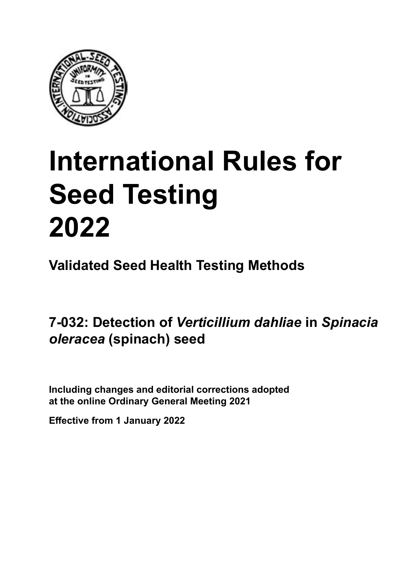

# **International Rules for Seed Testing von Saatgut 2022 2022 Semences 2022 International Rules for Seed Testing 2022**

**Métodos Validados para Análisis de Sanidad de Semillas Validate Méthodes Validées pour Analyse Sanitaire des Semences Validated Seed Health Testing Methods**

7-032: Detection of *Verticillium dahliae* in S*pinacia* **semillas de** *Spinacia oleracea* **(espinaca)** *Spinacia oleracea* **(Spinat) Samen semences de** *Spinacia oleracea* **(épinard)** *oleracea* **(spinach) seed**

Including changes and editorial corrections adopted at the online Ordinary General Meeting 2021

**Effective from 1 January 2022**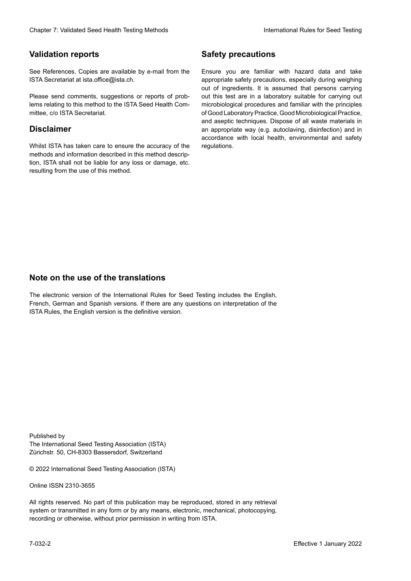### **Validation reports**

See References. Copies are available by e-mail from the<br>ISTA Secretariat at ista.office@ista.ch. ISTA Secretariat at ista.office@ista.ch.

lems relating to this method to the ISTA Seed Health Com-<br>mittee, c/o ISTA Secretariat. mittee, c/o ISTA Secretariat.<br>i Please send comments, suggestions or reports of prob-

### **Limitation de responsabilité Disclaimer**

Whilst ISTA has taken care to ensure the accuracy of the<br>methods and information described in this method description, ISTA shall not be liable for any loss or damage, etc.<br>resulting from the use of this method.<br>. resulting from the use of this method. Whilst ISTA has taken care to ensure the accuracy of the methods and information described in this method descrip-<br>tion, ISTA shall not be liable for any loss or damage, etc. tion, ISTA shall not be liable for any loss or damage, etc.<br>resulting from the use of this method.

### **Medidas de seguridad Sicherheitsmaßnahmen Sécurité Safety precautions**

Ensure you are familiar with hazard data and take Ensure you are familiar with hazard data and take<br>appropriate safety precautions, especially during weighing out of ingredients. It is assumed that persons carrying out this test are in a laboratory suitable for carrying out microbiological procedures and familiar with the principles of Good Laboratory Practice, Good Microbiological Practice, and aseptic techniques. Dispose of all waste materials in an appropriate way (e.g. autoclaving, disinfection) and in accordance with local health, environmental and safety regulations. Glade 7: Validated Deed Health Testing holesdos<br>
Gallet Corresponds<br>
Validation responds with a statistic by e-mail four ole Simuar you are Smithty Health Nasard date and shift<br>
GMS Decretors at statistic distance of the C microbiological procedures and familiar with the principles<br>of Good Laboratory Practice, Good Microbiological Practice,<br>and aseptic techniques. Dispose of all waste materials in<br>an appropriate way (e.g. autoclaving, disinf fallstoffe sind auf geeignete Weise und entsprechend der vor Ort über der vor Ort über und Umwelt- und Umwelt-<br>Eine und Umwelt-Effective Counter of Nicholas Devel Teach Teach Teach Devel Safety precedutions<br>
Validation reports<br>
Safety precedution reports and the symbol state of the sementic of the symbol state of the based delay and share<br>
Propose of Good Laboratory Practice, Good Microbiological Practice,<br>and aseptic techniques. Dispose of all waste materials in<br>an appropriate way (e.g. autoclaving, disinfection) and in Validation reports<br>
Since The Texture 1988 and the mediator of the Since Theorem and Texture 1990 per percentation reports that the mediator of the mediator of the mediator of the mediator of the mediator of the mediator o Ensure you are familiar with hazard data and take<br>appropriate safety precautions, especially during weighing<br>out of ingredients. It is assumed that persons carrying<br>out this test are in a laboratory suitable for carrying o

### **Nota sobre el uso de traducciones Anmerkung zur Benutzung der Übersetzungen Note on the use of the translations**

The electronic version of the International Rules for Seed Testing includes the English, French, German and Spanish versions. If there are any questions on interpretation of the ISTA Rules, the English version is the definitive version. The electronic version of the International Rules for Seed Testing includes the English,<br>French, German and Spanish versions. If there are any questions on interpretation of the<br>ISTA Rules, the English version is the defin The electronic version of the International Rules for Seed Testing includes the English,<br>French, German and Spanish versions. If there are any questions on interpretation of the

Published by **Extending Association (ISTA)** The International Seed Testing Association (ISTA) Zürichstr. 50, CH-8303 Bassersdorf, Switzerland

© 2022 International Seed Testing Association (ISTA)

Alle Rechte vorbehalten. Kein Teil dieses Werkes darf in irgendwelcher Form oder durch Online ISSN 2310-3655

All rights reserved. No part of this publication may be reproduced, stored in any retrieval All rights reserved. No part of this publication may be reproduced, stored in any retrieval<br>system or transmitted in any form or by any means, electronic, mechanical, photocopying,<br>recording or otherwise, without prior per recording or otherwise, without prior permis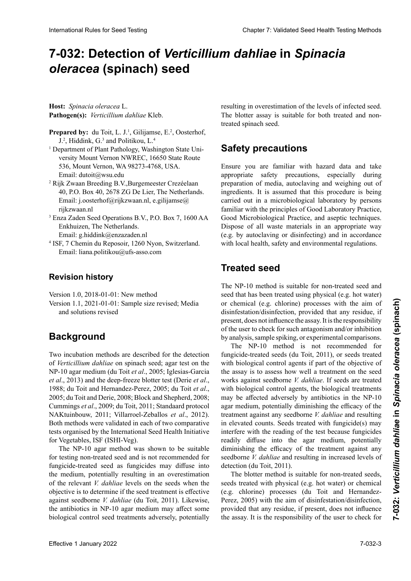# 7-032: Detection of *Verticillium dahliae* in S*pinacia Spinacia oleracea* **(espinaca)** *oleracea* **(Spinat) Samen de** *Spinacia oleracea* **(épinard) (spinach) seed**

**Hospedante:** *Spinacia oleracea* L. **Wirtspflanze:** *Spinacia oleracea* L. **Hôte :** *Spinacia oleracea* L. **Host:** *Spinacia oleracea* L. Pathogen(s): Verticillium dahliae Kleb.

- **Prepared by:** du Toit, L. J.<sup>1</sup>, Gilijamse, E.<sup>2</sup>, Oosterhof,<br> $I^2$  Hiddink G<sup>3</sup> and Politikou, I<sup>4</sup> J.<sup>2</sup>, Hiddink, G.<sup>3</sup> and Politikou, L.<sup>4</sup>
- 1 Department of Plant Pathology, Washington State Uni-1 1 Department of Plant Pathology, Washington State University Mount Vernon NWREC, 16650 State Route Department of Plant Pathology, Washington State Uni-versity Mount Vernon NWREC, 16650 State Route 536, Mount Vernon, WA 98273-4768, USA. versity Mount Vernon NWREC, 16650 State Route 536, Mount Vernon, WA 98273-4768, USA. Email: dutoit@wsu.edu 536, Mount Vernon, WA 98273-4768, USA. Email: dutoit@wsu.edu
- Rijk Zwaan Breeding B.V.,Burgemeester Crezéelaan Email: dutoit@wsu.edu 2 2 Rijk Zwaan Breeding B.V.,Burgemeester Crezéelaan  $40, DQ, D_{\text{tot}}$  40, 2679 ZG De Lier, The Nederlands.  $\frac{1}{2}$ .o. box  $\frac{1}{2}$ ,  $\frac{20}{10}$  Eq. De ERI, The Netheri Email: j.oosterhof@rijkzwaan.nl, e.gilijamse@ Enjkzwaan.ni Rijk Zwaan Breeding B.V.,Burgemeester Crezéelaan 40, P.O. Box 40, 2678 ZG De Lier, The Netherlands. rijkzwaan.nl
- $\Gamma$ enkhuizen, Seed-Operations B. Enkhuizen, The Netherlands. Email: g.hiddink@enzazaden.nl rijkzwaan.ni<br><sup>3</sup> Enza Zaden Seed Operations B.V., P.O. Box 7, 1600 AA
- <sup>4</sup> ISF, 7 Chemin du Reposoir, 1260 Nyon, Switzerland. Email: liana.politikou@ufs-asso.com Email: liana.politikou@ufs-asso.com

#### **Historial de revisiones Revision histor Historique des révisions Revision history**

Version 1.0, 2018-01-01: New method Version 1.1, 2021-01-01: Sample size revised; Media and solutions revised

#### **Antecedentes Hintergrund Background Historique**

Two incubation methods are described for the detection<br>of *Verticillium dahliae* on spinach seed; agar test on the<br>NP-10 agar medium (du Toit *et al.*, 2005; Iglesias-Garcia<br>*et al.* 2013) and the deen-freeze blotter test of Verticillium dahliae on spinach seed; agar test on the Iglesias-Garcia *et al*., 2013) y análisis en papel secante artest auf NP-10 Agar (du Toit *et al*., 2005; Iglesias-Garcia NP-10 agar medium (du Toit *et al*., 2005; Iglesias-Garcia *et al.*, 2013) and the deep-freeze blotter test (Derie *et al.*, 1988; du Toit and Hernandez-Perez, 2005; du Toit et al.,<br>2005; du Toit and Derie, 2008; Block and Shepherd, 2008;<br>Cummings et al., 2009; du Toit, 2011; Standaard protocol. 2005; du Toit and Derie, 2008; Block and Shepherd, 2008; Cummings *et al.*, 2009; du Toit, 2011; Standaard protocol NAKtuinbouw, 2011; Villarroel-Zeballos et al., 2012).<br>Both methods were validated in each of two comparative<br>tests organised by the International Seed Health Initiative Roth methods were validated in each of two comparative tests organised by the International Seed Health Initiative resis organised i  $V_{\text{E}}$  Metodo en agar NP-10 demostró ser adecuado para  $(1 - 1)$  demostrative para  $(1 - 1)$ for Vegetables, ISF (ISHI-Veg).

The NP-10 agar method was shown to be suitable The NP-10 agar method was shown to be suitable<br>for testing non-treated seed and is not recommended for fungicide-treated seed as fungicides may diffuse into the medium, potentially resulting in an overestimation of the relevant *V. dahliae* levels on the seeds when the objective is to determine if the seed treatment is effective against seedborne *V. dahliae* (du Toit, 2011). Likewise, against seedborne *V. dantiae* (du 101t, 2011). Likewise, the antibiotics in NP-10 agar medium may affect some biological control seed treatments adversely, potentially resulting in overestimation of the levels of infected seed. The blotter assay is suitable for both treated and non-<br>treated spinach seed treated spinach seed. semillas de espinaca tratadas como no tratadas

#### **Medidas de seguridad Sicherheitsmaßnahmen Safety precautions**

Assure you are rainmar with hazard data and any appropriate safety precautions, especially during preparación or media, autoclaving and weighing out or  $\frac{1}{2}$ carried out in a microbiological laboratory by persons raminar with the principies of Good Laboratory Practice, Good Microbiological Practice, and aseptic techniques. Dispose of all waste materials in an appropriate way (e.g. by autoclaving or disinfecting) and in accordance with local health, safety and environmental regulations. preparation of media, autocraving and weighing out of preparation of filedra, autoclaving and weighing out of ingredients. It is assumed that this procedure is being Ensure you are familiar with hazard data and take et due in a microbiological laboratory by persons<br>familiar with the principles of Good Laboratory Practice,<br>Good Microbiological Practice, and aseptic techniques. Dispose of all waste materials in an appropriate way<br>(e.g. by autoclaving or disinfecting) and in accordance<br>with local health, safety and environmental regulations. preparation of media, autoclaving and weighing out of (e.g. by autoclaving or disinfecting) and in accordance

#### $U$ mweltbestimmungen zu entsorgen (z. B. durch Autokla-Autokla-Autokla-Autokla-Autokla-Autokla-Autokla-Autokla-Autokla-Autokla-Autokla-Autokla-Autokla-Autokla-Autokla-Autokla-Autokla-Autokla-Autokla-Autokla-Autokla-Autokl vieren, Desinfizieren). **Semences traitées Treated seed**

seed that has been treated using physical (e.g. hot water) or chemical (e.g. chlorine) processes with the aim of disinfestation/disinfection, provided that any residue, if present, does not influence the assay. It is the responsibility<br>of the user to check for such antagonism and/or inhibition<br>by analysis, sample spiking, or experimental comparisons. of the user to check for such antagonism and/or inhibition by analysis, sample spiking, or experimental comparisons. The NP-10 method is suitable for non-treated seed and seed that has been treated using physical (e.g. hot water)<br>or chemical (e.g. chlorine) processes with the aim of<br>disinfestation/disinfection, provided that any residue, if

The NP-10 method is not recommended for fungicide-treated seeds (du Toit, 2011), or seeds treated with biological control agents if part of the objective of the assay is to assess how well a treatment on the seed works against seedborne *V. dahliae*. If seeds are treated with biological control agents, the biological treatments may be affected adversely by antibiotics in the NP-10 agar medium, potentially diminishing the efficacy of the<br>treatment against any soedborne  $V$  dabling and resulting treatment against any seedborne V. dahliae and resulting<br>in elevated counts. Seeds treated with fungicide(s) may in elevated counts. Seeds treated with fungicide(s) may m otevaled coding. Seeds dediced with rangedac(b) may<br>interfere with the reading of the test because fungicides readily diffuse into the agar medium, potentially diminishing the efficacy of the treatment against any  $\frac{1}{2}$  differentiation interfering interferience interferience  $\frac{1}{2}$  and  $\frac{1}{2}$  and  $\frac{1}{2}$  and  $\frac{1}{2}$  and  $\frac{1}{2}$  and  $\frac{1}{2}$  and  $\frac{1}{2}$  and  $\frac{1}{2}$  and  $\frac{1}{2}$  and  $\frac{1}{2}$  and  $\frac{1}{2}$  and  $\frac{1}{2}$  and  $\frac{1}{2}$  functional set of the electronic enterpretation altamente enterpretation and  $\frac{1}{2}$  functional set of the electronic enterpretation of the electronic enterpretation of the electronic enterpretat detection (du ron, 2011). The term of the term of the term of the term of the term of the term of the antibiotic state in the Antibiotic Sample (19), the state of the Antibiotic Sample (19), the state of the Antibiotic Sample (19), the state of the  $\frac{1}{2}$  difficulties and the same delta Same das Testerseedborne *V. dahliae* and resulting in increased levels of **7-032: Detection of Verticillium dahliae in Spinacia oleracea <br>
<b>Institute in the control of the base of the state of the base of the state of the state of the state of the state of the state of the state of the state of** Fective particular external conduitients (shown and the set of which weak in the set of which weak in the set of the set of the set of the set of the set of the set of the set of the set of the set of the set of the set o International Rules for Seed Testing Compact Compact Compact Chapter 1 Spinacol Compact Chapter 1 Application Chapter 2: Unit and the Compact Chapter 2: Unit and the Compact Chapter 2: Unit and the Compact Chapter 2: Unit detection (du Toit, 2011).

I'm both the transmitted contract contract contract the position of the contract of the position of the position of the position of the contract of the position of the position of the contract of the position of the positi The blotter method is suitable for non-treated seeds,<br>seeds treated with physical (e.g. hot water) or chemical (e.g. chlorine) processes (du Toit and Hernandez-Perez, 2005) with the aim of disinfestation/disinfection, provided that any residue, if present, does not influence provided that any residue, if present, does not influence<br>the assay. It is the responsibility of the user to check for und durch durch durch der Behandlung geneem The blotter method is suitable for non-treated seeds,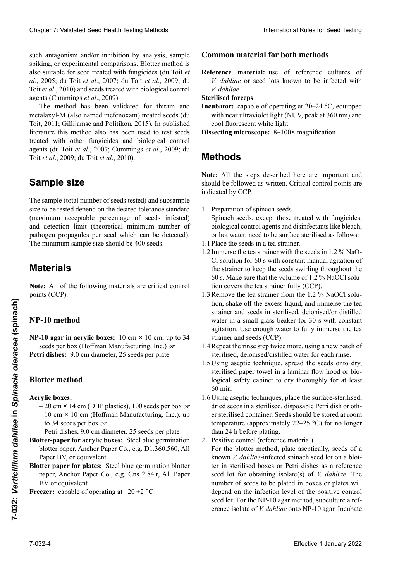such antagonism and/or inhibition by analysis, sample such antagonism and/or inhibition by analysis, sample<br>spiking, or experimental comparisons. Blotter method is also suitable for seed treated with fungicides (du Toit et al., 2005; du Toit et al., 2007; du Toit et al., 2009; du Toit et al., 2010) and seeds treated with biological control agents (Cummings *et al.*, 2009). spiking, or experimental comparisons. Blotter method is also suitable for seed treated with fungicides (du Toit *et al.*, 2005; du Toit *et al.*, 2009; du also suitable for seed treated with fungicides (du Toit *et* 

 $\overline{\phantom{a}}$  The method has been validated for thiram and metalaxyl-M (also named mefenoxam) treated seeds (du Toit, 2011; Gillijamse and Politikou, 2015). In published<br>literature this method also has been used to test seeds literature this method also has been used to test seeds treated with other fungicides and biological control<br>agents (du Toit et al. 2007: Cummings et al. 2009: du agents (du Toit *et al.*, 2007; Cummings *et al.*, 2009; du<br>
Toit *et al.*, 2000; du Toit *et al.*, 2010)  $T_{\text{oit}}$  (du Toit et al., 2007, Guillimigo et al., 2007, du Toit *et al.*, 2009; du Toit *et al.*, 2010). agents (Cummings *et al.*, 2009).<br>The method has been validated for thiram and<br>metalaxyl-M (also named mefenoxam) treated seeds (du The method has been validated for thiram and

#### control biológico (du Toit *et al*., 2007; Cummings *et al*., 2009; du Toit *et al*., 2009; du Toit *et al*., 2010). den und biologischen Kontrollmaßnahmen (du Toit *et al*., 2007; Cummings *et al*., 2009; du Toit *et al*., 2009; du Toit *et al*., 2010). La taille de l'échantillon (nombre total de semences tes-**Sample size**

**Tamaño de la muestrale de la muestra de la muestra de la muestra de la muestra de la muestra de la muestra de la muestra de la muestra de la muestra de la muestra de la muestra de la muestra de la muestra de la muestra de** and detection limit (theoretical minimum number of pathogen propagules per seed which can be detected). The minimum sample size should be 400 seeds. The sample (total number of seeds tested) and subsample de la tolérance standard de la touleur de standard des maximum maximum maximum maximum maximum maximum maximum size to be tested depend on the desired tolerance standard (maximum acceptable percentage of seeds infested)

#### mínimo teórico de propágulos del patógeno que puede ser detectado por semilla de muestra de muestra de muestra de muestra de muestra de muestra de muestra de muestra zentsatz der Nachweisen Samen<br>Samen<br>Der Nachweisen Einheiten pro Samen, die nachgewiesen Einheiten pro Samen, die nachgewiesen werden pro Samen, d **Matériel Materials**

Note: All of the following materials are critical control points (CCP).

## **NP-10 method**

Petri dishes: 9.0 cm diameter, 25 seeds per plate  $NP-10$  agar in acrylic boxes:  $10 \text{ cm} \times 10 \text{ cm}$ , up to 34 seeds per box (Hoffman Manufacturing, Inc.) or

# **Blotter method**

Acrylic boxes: **Petrischalens:** 9,0 cm Durchmesser, 25 Same 1997, 25 Same 1997, 25 Same 1997, 25 Same 1997, 25 Same 1997, 25 Same 1997, 25 Same 1997, 25 Same 1997, 25 Same 1997, 25 Same 1997, 25 Same 1997, 25 Same 1997, 25 Same 1997, 25

- 20 cm × 14 cm (DBP plastics), 100 seeds per box *or*
- $-10 \text{ cm} \times 10 \text{ cm}$  (Hoffman Manufacturing, Inc.), up Fig. 6.11 × 10 cm (Hoffman Manufacturing, Inc.), up<br>to 34 seeds per box *or*
- **Cajas acrílicas:** jusqu'à 34 semences par boîte *ou* Petri dishes, 9.0 cm diameter, 25 seeds per plate
- –1 cm disnes, 9,0 cm diamètre, 25 seeds per piate<br>**Blotter-paper for acrylic boxes:** Steel blue germination *o* <sup>0</sup> com *paper, Anchor I aper Co., c.g. D1.500.500, All* $\sum_{n=0}^{\infty}$ Paper BV, or equivalent <sup>1</sup><br><sup>11</sup> tteraces Angles Decentes D. 200 S60 A11 blotter paper, Anchor Paper Co., e.g. D1.360.560, All r aper **D** v, or equivalent<br>  $\frac{1}{2}$   $\frac{1}{2}$   $\frac{1}{2}$   $\frac{1}{2}$   $\frac{1}{2}$   $\frac{1}{2}$   $\frac{1}{2}$   $\frac{1}{2}$   $\frac{1}{2}$   $\frac{1}{2}$ Paper BV, or equivalent<br>Blotter paper for plates: Steel blue germination blotter
- $\mu$ er paper for places. Seen one germination of  $\sigma$ paper, Anchor Paper Co., e.g. Cns 2.84.r, All Paper **Passed in the parameter of the second second second second second second second second second second second second second second second second second second second second second second second second second second second s** paper, Anchor Paper Co., e.g. Cns 2.84.r, All Paper BV or equivalent<br>**Freezer:** capable of operating at  $-20 \pm 2$  °C
- **Fireezer:** capable of operating at  $-20 \pm 2$  °C.

### **Common material for both methods**

Reference material: use of reference cultures of *V. dahliae* or seed lots known to be infected with *V. dahliae V. dahliae*

### **Pinces is a steff of comparate steps**

- with near ultraviolet light (NUV, peak at 360 nm) and<br>cool fluorescent white light **Properties** de semillas de semillas de semillas de semillas de semillas de semillas de los que se semilla de semillas de los que se semilla de la contrada de la contrada de la contrada de la contrada de la contrada de la **Incubator:** capable of operating at 20–24 °C, equipped **Reference References References References References** V. **Dissecting microscope:** 8–100x magnification
- están infectados con *V. dahliae* **Pinza esterilizada** diese mit *V. dahliae* infiziert sind **Dissecting microscope:** 8–100× magnification

#### **Methods**  $3600$  nm) y luz blanca flu $\alpha$  $s_{\text{u}}$

Note: All the steps described here are important and **Métodos** indicated by CCP. Mikroskop: 8–1000**×** Vergrößerung donner de la points du décret de la points comme de la points comme la points comme de la points du décret de la points du décret de la points du décret de la points du décret de la points should be followed as written. Critical control points are<br>indicated be GGP.

- 1. Preparation of spinach seeds<br>April 2. Todos description in portantes and integrating and integrating the son in portant of the son in the son integration of the son in the son in the son in the son in the son in the son spinach seeds, except those treated with fungicides, biological control agents and disinfectants like bleach, 1. Preparation of spinach seeds or hot water, need to be surface sterilised as follows:  $\frac{1}{2}$ . Preparation of spinach secus Spinach seeds, except those treated with fungicides,
- 1.1 Place the seeds in a tea strainer.
- 1.2 Immerse the tea strainer with the seeds in 1.2 % NaO-1.2 Immerse the tea strainer with the seeds in 1.2 % NaO-<br>Cl solution for 60 s with constant manual agitation of the strainer to keep the seeds swirling throughout the the strainer to keep the seeds swirling throughout the<br>60 s. Make sure that the volume of 1.2 % NaOCl solution covers the tea strainer fully (CCP).
- 1.3 Remove the tea strainer from the 1.2 % NaOCl solution, shake off the excess liquid, and immerse the tea strainer and seeds in sterilised, deionised/or distilled water in a small glass beaker for 30 s with constant agitation. Use enough water to fully immerse the tea strainer and seeds (CCP). tion, shake off the excess liquid, and immerse the tea<br>strainer and seeds in sterilised, deionised/or distilled<br>water in a small glass beaker for 30 s with constant<br>agitation. Use enough water to fully immerse the tea strainer and seeds in sterilised, deionised/or distilled water in a small glass beaker for 30 s with constant
- 1.4 Repeat the rinse step twice more, using a new batch of<br>sterilised. deionised/distilled water for each rinse. sterilised, deionised/distilled water for each rinse.
- 1.5 Using aseptic technique, spread the seeds onto dry, sterilised paper towel in a laminar flow hood or bio-<br>logical safety cabinet to dry thoroughly for at least logical safety cabinet to dry thoroughly for at least  $60$  min.
- 1.6 Using aseptic techniques, place the surface-sterilised, dried seeds in a sterilised, disposable Petri dish or other sterilised container. Seeds should be stored at room<br>temperature (opproximately, 22, 25, 9C) for no langer para cada en una cada en una cada en una cada en una cada en una cada en una cada en una cada en una cada en u  $\frac{1}{100}$  Use  $\frac{1}{100}$  unpertance under the semithan 24 h before plating. temperature (approximately  $22-25$  °C) for no longer

2. Positive control (reference material)

 $\Gamma$  biológica para secar der seguridad biológica para secar para secar para secar para secar para secar para secar para secar para secar para secar para secar para secar para secar para secar para secar para secar para s For the blotter include, plate aseptically, seeds or a<br>known *V. dahliae*-infected spinach seed lot on a blot- $1.6$  Using the terminal secasion of  $\alpha$  because the secarch secare las secare secare secare secare secare secare secare secare secare secare secare secare secare secare secare secare secare secare secare secare secare s de superficie esteri de superficie esterilizada, en una placa de Petri de Petri de Petri de Petri de Petri de P seed lot for obtaining isolate(s) of *V. dahliae*. The number of seeds to be plated in boxes or plates will depend on the infection level of the positive control seed lot. For the NP-10 agar method, subculture a ref-Clearly 7: Validated Specific absorption in the control of the simple state of the simple state absorption and the simple state of the simple state of the simple state of the simple state of the simple state of the simple  $\frac{1}{2}$  Steriles Arbeiten:  $\frac{1}{2}$  Sterilung der oberflächen sterien. ter in sterilised boxes or Petri dishes as a reference Chaos 7 Voldated See Health Toring Model See The Maria Lange is the world as the model of a stationary of the control of a stationary of the control of a stationary of the control of the control of the control of the cont than 24 h before plating.<br>2. Positive control (reference material)<br>For the blotter method, plate aseptically, seeds of a **EFFECT 10 EFFECT 10 EFFECT 10 EFFECT 10 EFFECT 10 EXECT 10 EFFECT 10 EFFECT 10 EFFECT 10 EFFECT 10 EFFECT EFFECT EFFECT EFFECT EFFECT EFFECT EFFECT EFFECT EFFECT EFFECT EFFECT EF** erence isolate of *V. dahliae* onto NP-10 agar. Incubate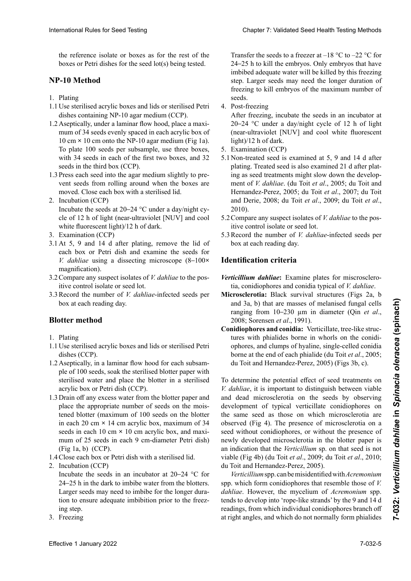the reference isolate or boxes as for the rest of the boxes or Petri dishes for the seed lot(s) being tested.

#### sabe que está infectado con *V. dahliae* en un papel se-rilen Boxen oder Petrischalen als Referenzmaterial für **NP-10 Method**

- 1. Plating die Erzeugung von *V. dahliae*-Isolaten. Die Anzahl der auszulegenden Samen ist vom Infektionslevel der Po-
- 1.1 Use sterilised acrylic boxes and lids or sterilised Petri dishes containing NP-10 agar medium (CCP).
- A sentically under a laminar flow hood place a maximum of 34 seeds evenly spaced in each acrylic box of  $10 \text{ cm} \times 10 \text{ cm}$  onto the NP-10 agar medium (Fig 1a). To can be calculated to the late of the description of the restoration of the restoration of the restoration of the boxes, re place 100 seeds per substanting to the first two boxes, and 32 with 34 secas in each of the<br>seeds in the third box (CCP). dishes containing NP-10 agar medium (CCP).<br>Aseptically, under a laminar flow hood, place a maxi-<br>mum of 34 seeds evenly spaced in each acrylic box of boxes or Petri dishes for the seed lot(s) being tested.<br> **•-10 Method**<br> **Plating**<br>
Use sterilised acrylic boxes and lids or sterilised Petri<br>
dishes containing NP-10 agar medium (CCP).<br>
Aseptically, under a laminar flow h 1.2Aseptically, under a laminar flow hood, place a maxi-
- **Meta** Coole Fro  $\frac{110 \text{ v} \cdot \text{u}}{1 \cdot \text{s}}$ 1.3 Press each seed into the agar medium slightly to pre-1.5 Fress each seed mit the agar medium sughity to prevent seeds from rolling around when the boxes are vent seeus from formig around when the boxes are went secas nom roning around when the boxes are<br>moved. Close each box with a sterilised lid.
- 2. Includation (CCF)<br> $\frac{1}{2}$  tableidas de placas de placas de placas de placas de placas de placas de placas de placas de placas de placas de placas de placas de placas de placas de placas de placas de placas de placas 2. Includation (CCF)<br>Incubate the seeds at 20–24  $\degree$ C under a day/night cycle of 12 h of light (near-ultraviolet [NUV] and cool white fluorescent light)/12 h of dark. 2. Incubation (CCP)
- 3. Examination (CCP)
- 3.1 At 5, 9 and 14 d after plating, remove the lid of each box or Petri dish and examine the seeds for cle of 12 n of light (hear-ultraviolet [NOV] and coord<br>white fluorescent light)/12 h of dark.<br>Examination (CCP)<br>At 5, 9 and 14 d after plating, remove the lid of<br>each box or Petri dish and examine the seeds for<br>V. dahliae magnification).
- 3.2 Compare any suspect isolates of *V. dahliae* to the positive control isolate or seed lot.
- Record the number of *V. dahliae*-infected seeds per box at each reading day. itive control isolate or seed lot.<br>Record the number of *V. dahliae*-infected seeds per<br>box at each reading day. 3.3 Record the number of *V. dahliae*-infected seeds per box at each reading day.

### **Blotter method**

- 1. Plating der Samen auf *V. dahliae unter V. dahliae unter V. dahliae unter V. dahliae unter V. dahliae unter V. dahliae unter V. dahliae unter V. dahliae unter V. dahliae unter V. dahliae unter V. dahliae unter V. dahlia*
- 1.1 Use sterilised acrylic boxes and lids or sterilised Petri dishes (CCP).
- 1.2 A septically, in a laminar flow hood for each subsample of 100 seeds, soak the sterilised blotter paper with sterilised water and place the blotter in a sterilised acrylic box or Petri dish (CCP). dishes (CCP).<br>Aseptically, in a laminar flow hood for each subsam-<br>ple of 100 seeds, soak the sterilised blotter paper with 1.2Aseptically, in a laminar flow hood for each subsam-
- 1.3 Drain off any excess water from the blotter paper and 1.3 Drain off any excess water from the blotter paper place the appropriate number of seeds on the moistened blotter (maximum of 100 seeds on the blotter in each 20 cm × 14 cm acrylic box, maximum of 34  $d_{\text{seed}}$  are callent  $\alpha$  of  $\alpha$  in the distribution, the sterilen sterilen steeds in each 10 cm  $\times$  10 cm acrylic box, and maxi $m$ **mum** or 25 secas in each  $F(z_1, z_2)$  $1.2$   $1.2$   $1.2$   $1.2$   $1.2$   $1.2$   $1.2$   $1.2$   $1.2$   $1.2$   $1.2$ finant of  $25$  seeds in each  $\ell$  em-diameter fear disity  $1.626$ mum of 25 seeds in each 9 cm-diameter Petri dish)<br> $(F_1, 1, 1)$  (GCD) (Fig 1a, b) (CCP).
- (Fig 1a, 0) (CCI).<br>Cl = 1.1 = P(Austrian March Austrian des Austrian des Austrian des Austrians des Austrians des Auslegen des Au  $\epsilon$ iose each box of I cui uish while a sterilised fiu.  $\begin{bmatrix} 1 & 1 & 0 \\ 0 & 1 & 1 \end{bmatrix}$ . 1.4 Close each box or Petri dish with a sterilised lid.
- $1.4 \text{ C}$ iose ca 2. Incubation (CCP).
- 2. Includation (CCF)<br> $\frac{1}{2}$  tapas across across across across dependent of place dependent of place dependent of place dependent of place dependent of place dependent of the place of place dependent of the place of pla Includate the seeds in an includator at  $20-24$  °C for  $24-25$  h in the dark to imbibe water from the blotters. Larger seeds may need to imbibe for the longer duration to ensure adequate imbibition prior to the freezing step. Larger seeds may need to imbibe for the longer duration to ensure adequate imbibition prior to the freezing step. Echapool sous fluctuation (CCP)<br>Incubate the seeds in an incubator at 20–24 °C for<br>24–25 h in the dark to imbibe water from the blotters.<br>Larger seeds may need to imbibe for the longer duration to ensure adequate imbibition prior to the freez-
- 3. Freezing.

Transfer the seeds to a freezer at  $-18$  °C to  $-22$  °C for Transfer the seeds to a freezer at –18 °C to –22 °C for 24–25 h to kill the embryos. Only embryos that have imbibed adequate water will be killed by this freezing step. Larger seeds may need the longer duration of<br>freezing to kill embryos of the maximum number of<br>seeds.<br>4. Post-freezing freezing to kill embryos of the maximum number of  $\text{seeds.}$ Transfer the seeds to a freezer at  $-18$  °C to  $-22$  °C for 24–25 h to kill the embryos. Only embryos that have imbibed adequate water will be killed by this freezing step. Larger seeds may need the longer duration of fre imbibed adequate water will be killed by this freezing seeds.

4. Post-freezing

After freezing, incubate the seeds in an incubator at  $20-24$  °C under a day/night cycle of 12 h of light 20–24 °C under a day/night cycle of 12 h of light (near-ultraviolet [NUV] and cool white fluorescent  $\frac{1}{2}$  light)/12 h of dark.

- $\frac{2}{3}$ . Examination (CCP)
- el agua del papel secante. Las semillas más grandes más grandes más grandes más grandes más grandes durch das Einfrieren geológicas más grandes más grandes más grandes más grandes más grandes más grandes más grandes más gr plating. Treated seed is chairmined at c, c and 1 t d after plating as seed treatments might slow down the developcongelación. ment of *V. dahliae*. (du Toit *et al*., 2005; du Toit and 3. Congelación 4. Nach dem Einfrieren Congélation Hernandez-Perez, 2005; du Toit *et al*., 2007; du Toit  $T_{\rm H} = 18 \div 2000 \pm 0.000 \pm 0.000 \pm 0.000 \pm 0.000 \pm 0.000 \pm 0.000 \pm 0.000 \pm 0.000 \pm 0.000 \pm 0.000 \pm 0.000 \pm 0.000 \pm 0.000 \pm 0.000 \pm 0.000 \pm 0.000 \pm 0.000 \pm 0.000 \pm 0.000 \pm 0.000 \pm 0.000 \pm 0.000 \pm 0.000 \pm 0.000 \pm 0.000 \pm$ and Derie, 2008, du Ton et  $u_1$ , 2009, du Ton et  $u_1$ ,  $\frac{2010}{9}$ .  $\frac{1}{1}$  Nethanucz<sup>-1</sup> CICz, 2009, un foliet al., 2007, un foliet and Derie, 2008; du Toit *et al.*, 2009; du Toit *et al.*, 2010). light)/12 h of dark.<br>5. Examination (CCP)<br>5.1 Non-treated seed is examined at 5, 9 and 14 d after<br>plating. Tracted seed is also examined 21 d after plat. and Derie, 2008; du Toit et al., 2007, du Toit<br>and Derie, 2008; du Toit et al., 2009; du Toit et al.,<br>2010).<br>5.2 Compare any suspect isolates of *V. dahliae* to the pos-<br>itive control isolate or seed lot.<br>5.3 Record the nu 2010).
- Compare any suspect isolates of *v. danuae* to the positive control isolate or seed lot. 5.2 Compare any suspect isolates of *V. dahliae* to the pos-
- 5.3 Record the number of *V. dahliae*-infected seeds per box at each reading day. box at each reading day.

#### 4. Post-congelación **Identification criteria** werden zusätzlich 21 den Auslegen unter-Auslegen unter-Auslegen unter-Auslegen unter-Auslegen unter-Auslegen<br>Auslegen unter-Auslegen unter-Auslegen unter-Auslegen unter-Auslegen unter-Auslegen unter-Auslegen unter-Ausle Après congélation **1 Après conces semences de 12 h dentification criteria**<br> une étuve à 20–24 h de lumière de 12 h de lumière de 12 h de lumière de 12 h de lumière de 12 h de lumière de

- Verticillium dahliae: Examine plates for miscrosclero*ticillium dahliae*: Examine plates for miscrosclero-<br>tia, conidiophores and conidia typical of *V. dahliae*.
- Microsclerotia: Black survival structures (Figs 2a, b and 3a, b) that are masses of melanised fungal cells ranging from  $10-230$  µm in diameter (Qin et al., 2008; Sorensen et al., 1991). and 3a, b) that are masses of melanised fungal cells<br>ranging from  $10-230 \mu m$  in diameter (Qin *et al.*,<br>2008; Sorensen *et al.*, 1991).<br>**Conidiophores and conidia:** Verticillate, tree-like struc-
- Conidiophores and conidia: Verticillate, tree-like structures with phialides borne in whorls on the conidi-<br>ophores, and clumps of hyaline, single-celled conidia<br>borne at the end of each phialide (du Toit *et al.*, 2005; ophores, and clumps of hyaline, single-celled conidia borne at the end of each phialide (du Toit *et al.*, 2005; du Toit and Hernandez-Perez, 2005) (Figs 3b, c). *dahliae* con el aislamiento del control positivo o lote

To determine the potential effect of seed treatments on *V. dahliae*, it is important to distinguish between viable and dead microsclerotia on the seeds by observing development of typical verticinate compropries on the same seed as those on which microsclerotia are beserved (1<sub>1g</sub> +). The presence of interesserved on a<br>seed without conidiophores, or without the presence of ción de microes, contidió de microestratorios, contidios típicos de *V. dahliae*. an indication that the *verticularity* sp. on that seed is not bic (Fig 40) (du fon et al., 2009, du fon et al., 2010,  $\frac{101}{\text{cm}}$  and  $\frac{1000 \text{ m}}{1000 \text{ m}}$  is  $\frac{1000 \text{ m}}{1000 \text{ m}}$ development of typical verticillate conidiophores on dahlia bolise dalla dalla unita interesserved alle observed (Fig 4). The presence of microsclerotia on a melanischen bestehen bestehen mit einer der der der der Größe von der Größe von der Größe von der Größe von der <sub>1</sub>, 10–230 percept improved in the bould paper is rencation that the *n*<br>[1] (F<sup>r.</sup>, 41). (1] T<sup>r.</sup>,  $V(0, 1)$  **K**  $V(0, 1)$  **K**  $V(0, 1)$  **Confidence**  $V(0, 1)$  **Confidence**  $V(0, 1)$  **Confidence**  $V(0, 1)$  **Confidence**  $V(0, 1)$  **Confidence**  $V(0, 1)$  **Confidence**  $V(0, 1)$  **Confidence**  $V(0, 1)$  **Confidence**  $V(0, 1)$ l'on and riemandez-perez,  $2003$ ). For external contents with a method in the of the propertiel of the contents of the contents of the contents of the contents of the contents of the contents of the contents of the contents of the contents of the contents Execut without confundments, or without the presence of newly developed microsclerotia in the blotter paper is *um materion that the verticiation* sp. on that seed is not viable (Fig 4b) (du Toit *et al.*, 2009; du Toit *et al.*, 2010; viable (Fig 40) (du Toit et al., 2009, du Toit et al., 2010,<br>du Toit and Hernandez-Perez, 2005). International Rule International Rule<br>
University for the control base of the base of the base of the base of the control base of the control base of the control base of the control base of the control base of the control an indication that the *Verticillium* sp. on that seed is not

*teruculum* spp. can be misidentified with *Ac*. spp. which form conidiophores that resemble those of *V*. spp. which form contatophores that resemble those of *v*.<br>*dahliae*. However, the mycelium of *Acremonium* spp. *dantiae*. However, the mycellum of *Acremonium* spp.<br>tends to develop into 'rope-like strands' by the 9 and 14 d readings, from which individual conidiophores branch off at right angles, and which do not normally form phialides *Merticillium* spp. can be misidentified with *Acremonium*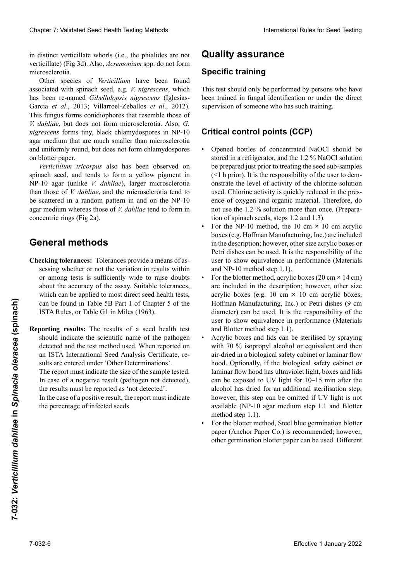in distinct verticillate whorls (i.e., the phialides are not in distinct verticillate whorls (i.e., the phialides are not<br>verticillate) (Fig 3d). Also, *Acremonium* spp. do not form microsclerotia. microsclerotia.<br>Other species of *Verticillium* have been found

associated with spinach seed, e.g. *V. nigrescens*, which has been re-named *Gibellulopsis nigrescens* (Iglesias-Garcia et al., 2013; Villarroel-Zeballos et al., 2012). This fungus forms conidiophores that resemble those of  $V$  dahliae, but does not form microsclerotia. Also  $G$ *V. dahliae*, but does not form microsclerotia. Also, *G. V. dahliae*, but does not form microsclerotia. Also, *G.*<br>nigrescens forms tiny, black chlamydospores in NP-10<br>agar medium that are much smaller than microsclerotia agar medium that are much smaller than microsclerotia *Verticillium* spp. puede ser identificado erróneamen- spp. kann mit *Acremonium* spp. verwech-lés typiques sur la même semence que celle sur laquelle and uniformly round, but does not form chlamydospores and antioning found, one associety form emany asspects<br>on blotter paper.

se parecen a los de *V. dahliae*. Sin embargo, el micelio träger wie *V. dahliae*. Aber das Myzel von *Acremonium* spinach seed, and tends to form a yellow pigment inspinaari seed, and tends to form a yenow pigment in<br>NP-10 agar (unlike *V. dahliae*), larger microsclerotia cuales los contratos de *ramifica*, angula individuales se ramifican en án- $\frac{1}{2}$  rector rector and the interesting the time is  $\frac{1}{2}$ verscallered in a random patient in and on the  $N+10$ agar medium whereas mose of *v. dannae* tend to form in microesclerocios. Andere *Verticillium*-Arten wurden an Spinatsamen *V. dahliae*. Cependant, le mycelium d'*Acremonium* spp. a concentric rings (Fig 2a). rechtwinkligen (und welche keine Philosopherical deutsche keine Phialiden in deutsche Phialiden in der Phialiden in der Phialiden in der Phialiden in der Phialiden in der Phialiden in der Phialiden in der Phialiden in der NP-10 agar (unlike *V. dahliae*), larger microsclerotia<br>than those of *V. dahliae*, and the microsclerotia tend to  $\sigma$  scattered in a famouli pattern in and on the  $N_f$ -10 agar medium whereas mose of *v. dunita* on blotter paper.<br>*Verticillium tricorpus* also has been observed on existence sur le buvard de microsclérotes nouvellement de *Verticially seperate in a random pattern in and on the INF-10* agar medium whereas those of *V. dahliae* tend to form in be scattered in a random pattern in and on the NP-10

#### ciadas con semillas de espinaca, ej. *V. nigrescens*, que ha sido renombrado *Gibellulopsis nigrescens* (Iglesias-Gar-*Gibellulopsis nigrescens* (Iglesias-Garcia *et al*., 2013; Vil-**General methods**

- Checking tolerances: Tolerances provide a means of as-**Checking tolerances:** Tolerances provide a means of assessing whether or not the variation in results within sessing whether or not the variation in results within<br>or among tests is sufficiently wide to raise doubts or among tests is sufficiently wide to raise doubts about the accuracy of the assay. Suitable tolerances, which can be applied to most direct seed health tests, can be found in Table 5B Part 1 of Chapter 5 of the ISTA Rules, or Table G1 in Miles (1963). about the accuracy of the assay. Suitable tolerances,<br>which can be applied to most direct seed health tests,<br>can be found in Table 5B Part 1 of Chapter 5 of the<br>ISTA Rules, or Table G1 in Miles (1963).<br>Reporting results: T which can be applied to most direct seed health tests, can be found in Table 5B Part 1 of Chapter 5 of the ISTA Rules, or Table G1 in Miles (1963).
- Reporting results: The results of a seed health test should indicate the scientific name of the pathogen<br>detected and the test method used. When reported on detected and the test method used. When reported on an ISTA International Seed Analysis Certificate, re-<br>sults are entered under 'Other Determinations'. sults are entered under 'Other Determinations'. Fig. 2a). The report must indicate the size of the sample tested. In the case of a positive result, the report must indicate In the case of a positive result, the report must indicate **Chequeo de tolerancias:** Las tolerancias proporcionan Content 2. Validierte Estatistis ab komplexis best international term in the state of the state of the branching term international term international term international term international term international term internat the results must be reported as 'not detected'.  $T_{\text{the percentage of infected seeds}}$  $\frac{1}{1}$  is the derivative der  $\frac{1}{1}$ Chaos 7 Validiant Seat Health weirs also also be the base of the state of the state of the state of the state of the state of the state of the state of the state of the state of the state of the state of the state of the In case of a negative result (pathogen not detected), the percentage of infected seeds. Clearion Chapter 2. The controller international controller international controller the controller the controller the controller the controller the controller international controller international controller internation can be found in Table 5B Part 1 of Chapter 5 of the dimense of non-term distinctions (9 cm and Binach Manufacturing, Inc.) or Petri dishes (9 cm and Binach Chapter Sections and Binach Chapter and Binach Chapter and Binach

# **Quality assurance**

# decific training and analisis usado. We **Specific training**

This test should only be performed by persons who have been trained in fungal identification or under the direct supervision of someone who has such training. Im Falle eines positiven Ergebnisses sollte der Prüfbedu pathogène et la méthode utilisée. Dans le cas d'un

#### itical control points  $(CCP)$ detectado'. **Critical control points (CCP)** Le rapport doit indiquer la taille de l'échantillon testé.

- Opened bottles of concentrated NaOCl should be<br>stored in a refrigerator and the  $1.2\%$  NoOCl solution stored in a refrigerator, and the 1.2 % NaOCl solution  $\left($   $\leq$  1 n prior). It is the responsibility of the chloring or the chloring **Example 2018 Entremand 1 Example 2019** not use the 1.2 % solution more than once. (Preparation of spinach seeds, steps  $1.2$  and  $1.3$ ). stored in a refrigerator, and the 1.2 % Naoer solution<br>be prepared just prior to treating the seed sub-samples  $\left(\frac{1}{2} \ln \frac{1}{2} \ln \frac{1}{2} \ln \frac{1}{2} \ln \frac{1}{2} \ln \frac{1}{2} \ln \frac{1}{2} \ln \frac{1}{2} \ln \frac{1}{2} \ln \frac{1}{2} \ln \frac{1}{2} \ln \frac{1}{2} \ln \frac{1}{2} \ln \frac{1}{2} \ln \frac{1}{2} \ln \frac{1}{2} \ln \frac{1}{2} \ln \frac{1}{2} \ln \frac{1}{2} \ln \frac{1}{2} \ln \frac{1}{2} \ln \frac{1}{2} \ln \frac{1}{2} \ln \frac{1}{2} \ln \frac$  $\frac{1}{2}$  Ch<sub>1</sub>  $\frac{1}{2}$  and  $\frac{1}{2}$  in deriver in an independent in the space used. Chlorine activity is quickly reduced in the pres-<br>
anse of our can and organic metasial. Therefore, do ence of oxygen and organic material. Therefore, do  $\epsilon$  (<1 h prior). It is the responsibility of the user to dem-
- For the NP-10 method, the 10 cm  $\times$  10 cm acrylic boxes (e.g. Hoffman Manufacturing, Inc.) are included user to show equivalence in performance (Materials Petri dishes can be used. It is the responsibility of the and NP-10 method step 1.1). in the description; however, other size acrylic boxes or
- For the blotter method, acrylic boxes  $(20 \text{ cm} \times 14 \text{ cm})$ are included in the description; however, other size acrylic boxes (e.g.  $10 \text{ cm} \times 10 \text{ cm}$  acrylic boxes, Hoffman Manufacturing, Inc.) or Petri dishes (9 cm diameter) can be used. It is the responsibility of the user to show equivalence in performance (Materials and Blotter method step 1.1). are included in the description; however, other size acrylic boxes (e.g. 10 cm × 10 cm acrylic boxes, Hoffman Manufacturing, Inc.) or Petri dishes (9 cm diameter) can be used. It is the responsibility of the user to show equivalence in performance (Materials and Blotter method step 1.1). acrylic boxes (e.g. 10 cm **×** 10 cm acrylic boxes,
- Acrylic boxes and lids can be sterilised by spraying<br>with 70 % isopropyl alcohol or equivalent and then with 70 % isopropyl alcohol or equivalent and then air-dried in a biological safety cabinet or laminar flow<br>hood. Optionally, if the biological safety cabinet or hood. Optionally, if the biological safety cabinet or laminar flow hood has ultraviolet light, boxes and lids can be exposed to UV light for 10–15 min after the alcohol has dried for an additional sterilisation step; however, this step can be omitted if UV light is not xailable (NP-10, agar medium step 1, 1, and Rlotter paso 1.1). method step 1.1). available (NP-10 agar medium step 1.1 and Blotter<br>method step 1.1)
- For the blotter method, Steel blue germination blotter r en la crédite method, siten que germination créditer<br>paper (Anchor Paper Co.) is recommended; however, puper (*i*nienor i uper co.*)* is recommended, nowever,  $\alpha$ <sub>10</sub> commandi didici paper can de useu. Dinerent paper (zinenor i aper Co.) is recommended, nowever, omer germmanon oloher paper ean oe used. Dinerent paper (*x* 110.101 x aper Co.) is recommended, nowever, other germination blotter paper can be used. Different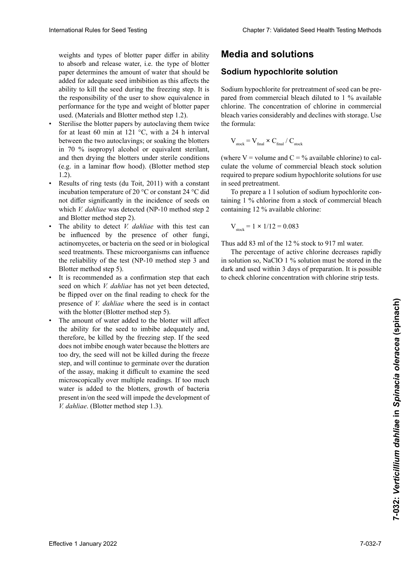weights and types of blotter paper differ in ability to absorb and release water, i.e. the type of blotter paper determines the amount of water that should be added for adequate seed imbibition as this affects the ability to kill the seed during the freezing step. It is the responsibility of the user to show equivalence in ability to kill the seed during the freezing step. It is the responsibility of the user to show equivalence in performance for the type and weight of blotter paper used. (Materials and Blotter method step 1.2).

- **•** Sterilise the blotter papers by autoclaving them twice for at least 60 min at 121  $\degree$ C, with a 24 h interval between the two autoclavings; or soaking the blotters<br>in 70 % isopropyl alcohol or equivalent sterilant,<br>and then drying the blotters under sterile conditions  $\frac{1}{2}$  second de absorber werden muss, de absorber  $\frac{1}{2}$  is  $\frac{1}{2}$  in  $\frac{1}{2}$  in  $\frac{1}{2}$  in  $\frac{1}{2}$  isopropyl alcohol or equivalent sterilant, and then drying the blotters under sterile conditions cantidad de agregar para una cantidad de la cantidad de la cantidad de la cantidad de la cantidad de la cantidad de la cantidad de la cantidad de la cantidad de la cantidad de la cantidad de la cantidad de la cantidad de l  $\overline{c}$ cuada imbibilión de la semilla de la semilla semillas, ya que esto afecta a fecta de la semilla de la semilla de la semilla de la semilla de la semilla de la semilla de la semilla de la semilla de la semilla de la eine dien drying die erotters ander sterne conditions<br>(e.g. in a laminar flow hood). (Blotter method step) 1.2).
- 1.2).<br>Decedito efectivo texto (du Telit. 2011) suith o constant. congelación temperatura congelación. Es a responsabilidad de mostrarro nctionally in the incidence of seeds on<br>which *V. dahliae* was detected (NP-10 method step 2)  $\frac{d}{dt}$  del papel secare utilizado. (Materiales y Método de Método de Método de Método de Método de Método de Método de Método de Método de Método de Método de Método de Método de Método de Método de Método de Método de which  $v$ , *aanuae* was de and Biouer method step  $\angle$ ). (e.g. in a naminal now hood). (Diotter method step 1.2).<br>
• Results of ring tests (du Toit, 2011) with a constant is what the temperature of 2000 consentent 24.96 did 1.2).<br>Results of ring tests (du Toit, 2011) with a constant<br>incubation temperature of 20 °C or constant 24 °C did  $\frac{1}{2}$  is a step buvard in the including of secus on which *V. dahliae* was detected (NP-10 method step 2 and Blotter method step 2).
- and Blotter method step 2).<br>The ability to detect *V. dahliae* with this test can be influenced by the presence of other fungi, actinomycetes, or bacteria on the seed or in biological seed treatments. These microorganisms can influence the reliability of the test (NP-10 method step 3 and Blotter method step 5). Blotter method step 5). seed treatments. These microorganisms can influence the reliability of the test (NP-10 method step 3 and
- It is recommended as a confirmation step that each seed on which *V. dahliae* has not yet been detected, seed on which *V. dahliae* has not yet been detected,<br>be flipped over on the final reading to check for the be flipped over on the final reading to check for the presence of *V. dahliae* where the seed is in contact with the blotter (Blotter method step 5). with the blotter (Blotter method step 5).
- The amount of water added to the blotter will affect the ability for the seed to imbibe adequately and, therefore, be killed by the freezing step. If the seed does not imbibe enough water because the blotters are does not imbibe enough water because the blotters are too dry, the seed will not be killed during the freeze step, and will continue to germinate over the duration of the assay, making it difficult to examine the seed microscopically over multiple readings. If too much<br>water is added to the blotters growth of bacteria water is added to the blotters, growth of bacteria present in/on the seed will impede the development of *d*<br>*V* dahliae (Blotter method step 1.3) de *V. dahliae* donde la semilla está en contacto con el • The amount of water added to the blotter will affect<br>the ability for the seed to imbibe adequately and,  $\frac{1}{V}$  dahlias (Blotter method step 1.3) pier-Methode, Schritt 5). *N* is the minimized to the internal data of the internal data of the internal data of the surface of the surface of the surface of the surface of the surface of the surface of the surface of the surface of the surface o • The amount of water added to the blotter will affect the ability for the seed to imbibe adequately and, therefore, be killed by the freezing step. If the seed *v.* dahliae. (Blotter method step 1.3). cité à la semence par la semence n'est pas asez imbibée, par le buvarier de buvard est parce que le buvard est <br>La seconde le buvard est trop sec, la sec, la sec, la sec, la sec, la sec, la sec, la sec, la sec, la sec, la International Rules for Seed Testing control control control control control control control control control control control control control control control control control control control control control control control

# **Medios y soluciones Medien und Lösungen Milieux et solutions Media and solutions**

### $\boldsymbol{\mathsf{Sodium}}$  hypochlorite solution

Sodium hypochlorite for pretreatment of seed can be prepared from commercial bleach diluted to 1 % available chlorine. The concentration of chlorine in commercial<br>bleach varies considerably and declines with storage Use bleach varies considerably and declines with storage. Use the formula:

$$
\rm V_{\rm stock} = V_{\rm final} \times C_{\rm final} \, / \, C_{\rm stock}
$$

(where  $V =$  volume and  $C = %$  available chlorine) to cal-<br>culate the volume of commercial bloods stock solution el volume de la solución de stock de culate the volume of commercial bleach stock solution cial representar do para preparar la solución de hipochonica sodia el prepare sodiam ny poemorite. required to prepare sodium hypochlorite solutions for use in seed pretreatment.

To prepare a 1 l solution of sodium hypochlorite con $q = 1.8$  de cloro a partir de contiene contiene co- $\frac{1200}{1200}$  definition disponential disponential disponential disponential disponential disponential disponential disponential disponential disponential disponential disponential disponential disponential disponential  $\frac{10}{10}$  das erforderliche Volumen des kommerziellen Bleichtaining 1 % chlorine from a stock of commercial bleach containing  $12\%$  available chlorine. eaning 1 % chlorine from a stock of<br>containing 12 % available chlorine:

$$
V_{\text{stock}} = 1 \times 1/12 = 0.083
$$

Por lo tanto, añadir 83 ml del stock al 12 % para 917 ml Thus add 83 ml of the 12 % stock to 917 ml water. Thus add 83 ml of the 12 % stock to 917 ml water.

The percentage of active chlorine decreases rapidly The percentage of active chlorine decreases rapidly<br>in solution so, NaClO 1 % solution must be stored in the dark and used within 3 days of preparation. It is possible to check chlorine concentration with chlorine strip tests.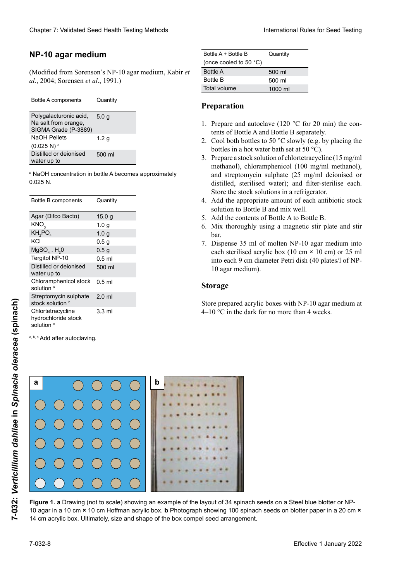### **Medio de agar NP-10 NP-10 Agar NP-10 agar medium**

(Modified from Sorenson's NP-10 agar medium, Kabir et al., 2004; Sorensen et al., 1991.) *al*., 2004; Sorensen *et al*., 1991.) *al*., 2004; Sorensen *et al*., 1991.)

| Polygalacturonic acid,<br>Na salt from orange,<br>SIGMA Grade (P-3889) | 5.0q             |
|------------------------------------------------------------------------|------------------|
| <b>NaOH Pellets</b>                                                    | 1.2 <sub>g</sub> |
| $(0.025 N)^a$                                                          |                  |
| Distilled or deionised<br>water up to                                  | 500 ml           |

<u>KNO3 1,0 graduatelj i postava svoje predsjednje predsjednje predsjednje predsjednje predsjednje predsjednje p</u>

<sup>a</sup> NaOH concentration in bottle A becomes approximately  $0.025$  N.  $\mathcal{N}$  and  $\mathcal{N}$  mention  $\mathcal{N}$  mention  $\mathcal{N}$ 

| Bottle B components                                               | Quantity         |
|-------------------------------------------------------------------|------------------|
| Agar (Difco Bacto)                                                | 15.0 g           |
| KNO,                                                              | 1.0 <sub>q</sub> |
| KH <sub>2</sub> PO <sub>4</sub>                                   | 1.0 <sub>q</sub> |
| KCI                                                               | 0.5 <sub>g</sub> |
| $MgSOa$ . H <sub>2</sub> 0                                        | 0.5 <sub>g</sub> |
| Tergitol NP-10                                                    | $0.5$ ml         |
| Distilled or deionised<br>water up to                             | 500 ml           |
| Chloramphenicol stock<br>solution <sup>a</sup>                    | $0.5$ ml         |
| Streptomycin sulphate<br>stock solution b                         | $2.0$ ml         |
| Chlortetracycline<br>hydrochloride stock<br>solution <sup>c</sup> | $3.3 \text{ ml}$ |

#### **Preparación Préparation Preparation Herstellung**

- 1. Prepare and autoclave (120 °C for 20 min) the contents of Bottle A and Bottle B separately.
- 2. Cool both bottles to 50 °C slowly (e.g. by placing the bottles in a hot water bath set at  $50^{\circ}$ C).
- 50 °C). durch Inkubation im Wasserbad bei 50 °C). 3. Prepara association di chiercatalycine (15 mg/ml<br>methanol), chloramphenicol (100 mg/ml methanol), methanol), embramphemicol (100 mg/ml methanol), and streptomycin sulphate (25 mg/ml deionised or  $\frac{1}{25}$  mg/ml actomoca of distributional method of  $\frac{1}{25}$  mg/ml actomoca of distinct, sterilised water), and inter-sterilise each<br>Store the stock solutions in a refrigerator. distinct, steriliser water), and inter-sterilise each. bottles in a hot water bath set at 50 °C).<br>
Prepare a stock solution of chlortetracycline (15 mg/ml<br>
methanol), chloramphenicol (100 mg/ml methanol),<br>
and attentaming sulphate (25 mg/ml deigniced cm  $\mu$ methanological subphate (25 mg/ml defombed of distilled, sterilised water); and filter-sterilise each.<br>Stere the sterle water is each inter-sterilise 3. Prepare a stock solution of chlortetracycline (15mg/ml
- $\frac{d}{dt}$  diante solucions in a refligerator. Add the appropriate amou  $\frac{1}{4}$  and the calculate appropriate density de capacity de capacity de capacity de capacity de capacity de capacity de capacity de capacity de capacity de capacity de capacity de capacity de capacity de capacity de ca  $\frac{1}{4}$  and  $\frac{1}{4}$  is the stead of  $\frac{1}{4}$  and  $\frac{1}{4}$  and  $\frac{1}{4}$  and  $\frac{1}{4}$  and  $\frac{1}{4}$ Aug the appropriate amount of  $\frac{1}{4}$ .  $\frac{1}{4}$   $\frac{1}{4}$   $\frac{1}{4}$   $\frac{1}{4}$   $\frac{1}{8}$   $\frac{1}{8}$   $\frac{1}{8}$   $\frac{1}{8}$   $\frac{1}{8}$   $\frac{1}{8}$   $\frac{1}{8}$   $\frac{1}{8}$   $\frac{1}{8}$   $\frac{1}{8}$   $\frac{1}{8}$   $\frac{1}{8}$   $\frac{1}{8}$   $\frac{1}{8}$   $\frac{1}{8}$   $\frac{1}{8}$   $\frac{1}{8}$   $\frac{1}{2}$ chaque. Stocker solutions mères au réfrigération. 4. Add the appropriate amount of each antibiotic stock solution to bothe  $\overline{D}$  and  $\overline{D}$  wen. solution to Bottle B and mix well.
- Add the contents of Bottle A to Bottle B. Add the contents of Bottle A to Bottle B 5. Add the contents of Bottle A to Bottle B.
- 6. Mix thoroughly using a magnetic stir plate and stir  $\alpha$ . Mezclar completa $\alpha$  de agita-de agita-de agita-de agita-de agita-de agita-de agita-de agita-de agita-de agita-de agita-de agita-de agita-de agita-de agita-de agita-de agita-de agita-de agita-de agita-de agita-de ag  $\alpha$ . Gründliches Mischen auf dem Magnetischen auf dem Magnetischen auf dem Magnetischen auf dem Magnetischen auf dem Magnetischen auf dem Magnetischen auf dem Magnetischen auf dem Magnetischen auf dem Magnetischen auf de  $\alpha$ magnétique. bar.
- Dispense 35 ml of molten NP-10 agar 7. Dispense 35 ml of molten NP-10 agar medium into<br>each sterilised acrylic box (10 cm  $\times$  10 cm) or 25 ml into each 9 cm diameter Petri dish (40 plates/l of NP-10 agar medium). 7. Dispense 35 ml of molten  $NP-10$  agar medium into 7. Dispense 35 ml of molten NP-10 agar medium into

#### **Storage**

4–10 °C in the dark for no more than 4 weeks. Store prepared acrylic boxes with NP-10 agar medium at  $4-10$  °C in the dark for no more than 4 weeks.



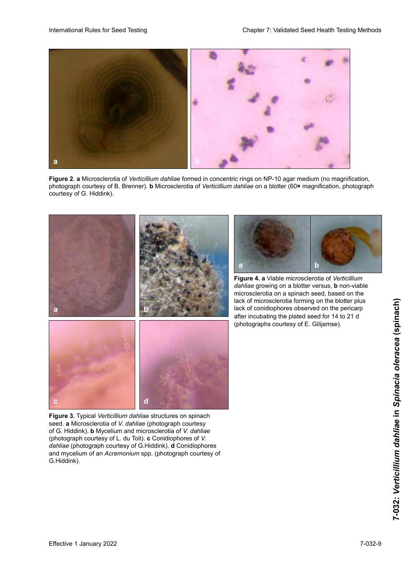

**Figure 2. a** Microsclerotia of *Verticillium dahliae* formed in concentric rings on NP-10 agar medium (no magnification, photograph courtesy of B. Brenner). **b** Microsclerotia of *Verticillium dahliae* on a blotter (60× magnification, photograph courtesy of G. Hiddink). The avec least the Groundlicher General production de G. Hiddink).



rigure 5. Typical Verticularly damage structures on spinacht<br>seed. a Microsclerotia of V. dahliae (photograph courtesy of G. Hiddink). **b** Mycelium and microsclerotia of *V. dahliae* (photograph courtesy of L. du Toit). c Conidiophores of V. dahliae (photograph courtesy of E. du Ton). C Contamphores of V.<br>dahliae (photograph courtesy of G.Hiddink). d Conidiophores da*nia* correspondente de G.H. Hiddink). **d** Conidiopriotes and mycelium of an *Acremonium* spp. (photograph courtesy of<br>C.Uiddial:\ **Figure 3.** Typical *Verticillium dahliae* structures on spinach G.Hiddink). **G.Hiddink**).